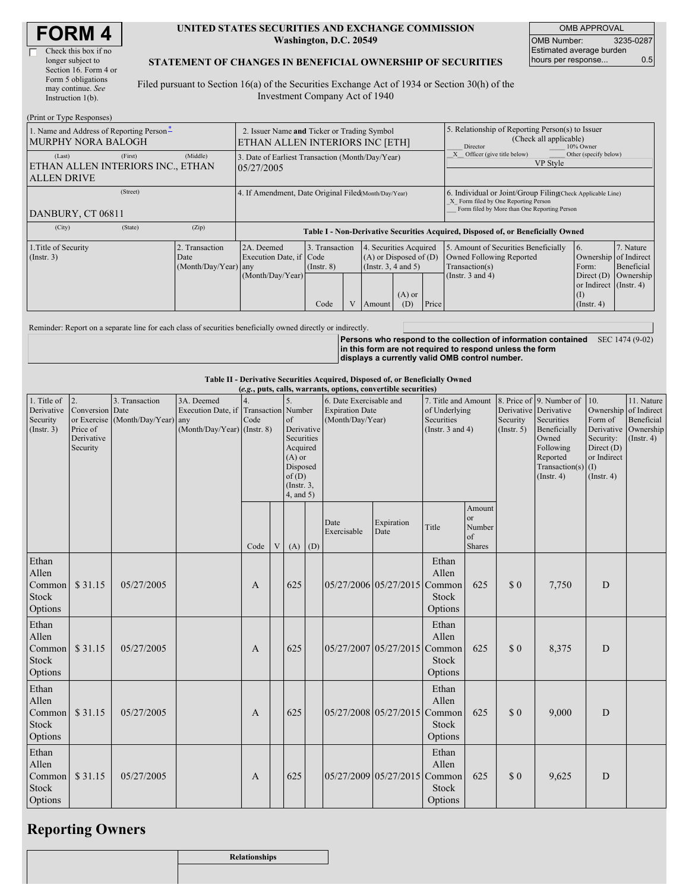| <b>FORM4</b> |
|--------------|
|--------------|

#### **UNITED STATES SECURITIES AND EXCHANGE COMMISSION Washington, D.C. 20549**

OMB APPROVAL OMB Number: 3235-0287 Estimated average burden hours per response... 0.5

#### **STATEMENT OF CHANGES IN BENEFICIAL OWNERSHIP OF SECURITIES**

Filed pursuant to Section 16(a) of the Securities Exchange Act of 1934 or Section 30(h) of the Investment Company Act of 1940

| (Print or Type Responses)                                         |                                                                                |                                             |                                                                                  |                                           |  |                                                                                             |                                                                                                                                                                        |                                                                                                                                                    |                                                                                                             |                                                                                                                      |                                      |
|-------------------------------------------------------------------|--------------------------------------------------------------------------------|---------------------------------------------|----------------------------------------------------------------------------------|-------------------------------------------|--|---------------------------------------------------------------------------------------------|------------------------------------------------------------------------------------------------------------------------------------------------------------------------|----------------------------------------------------------------------------------------------------------------------------------------------------|-------------------------------------------------------------------------------------------------------------|----------------------------------------------------------------------------------------------------------------------|--------------------------------------|
| 1. Name and Address of Reporting Person-<br>MURPHY NORA BALOGH    | 2. Issuer Name and Ticker or Trading Symbol<br>ETHAN ALLEN INTERIORS INC [ETH] |                                             |                                                                                  |                                           |  |                                                                                             | 5. Relationship of Reporting Person(s) to Issuer<br>(Check all applicable)<br>Director<br>10% Owner<br>Other (specify below)<br>Officer (give title below)<br>VP Style |                                                                                                                                                    |                                                                                                             |                                                                                                                      |                                      |
| (Last)<br>ETHAN ALLEN INTERIORS INC., ETHAN<br><b>ALLEN DRIVE</b> | 3. Date of Earliest Transaction (Month/Day/Year)<br>05/27/2005                 |                                             |                                                                                  |                                           |  |                                                                                             |                                                                                                                                                                        |                                                                                                                                                    |                                                                                                             |                                                                                                                      |                                      |
| (Street)<br>DANBURY, CT 06811                                     |                                                                                |                                             | 4. If Amendment, Date Original Filed(Month/Day/Year)                             |                                           |  |                                                                                             |                                                                                                                                                                        | 6. Individual or Joint/Group Filing Check Applicable Line)<br>X Form filed by One Reporting Person<br>Form filed by More than One Reporting Person |                                                                                                             |                                                                                                                      |                                      |
| (City)                                                            | (State)                                                                        | (Zip)                                       | Table I - Non-Derivative Securities Acquired, Disposed of, or Beneficially Owned |                                           |  |                                                                                             |                                                                                                                                                                        |                                                                                                                                                    |                                                                                                             |                                                                                                                      |                                      |
| 1. Title of Security<br>(Insert. 3)                               |                                                                                | Transaction<br>Date<br>(Month/Day/Year) any | 2A. Deemed<br>Execution Date, if Code<br>(Month/Day/Year)                        | 3. Transaction<br>$($ Instr. $8)$<br>Code |  | 4. Securities Acquired<br>$(A)$ or Disposed of $(D)$<br>$($ Instr. 3, 4 and 5 $)$<br>Amount | $(A)$ or<br>(D)                                                                                                                                                        | Price                                                                                                                                              | 5. Amount of Securities Beneficially<br>Owned Following Reported<br>Transaction(s)<br>(Instr. $3$ and $4$ ) | $\overline{6}$ .<br>Ownership of Indirect<br>Form:<br>Direct $(D)$<br>or Indirect (Instr. 4)<br>(I)<br>$($ Instr. 4) | 7. Nature<br>Beneficial<br>Ownership |

Reminder: Report on a separate line for each class of securities beneficially owned directly or indirectly.

**Persons who respond to the collection of information contained in this form are not required to respond unless the form displays a currently valid OMB control number.** SEC 1474 (9-02)

**Table II - Derivative Securities Acquired, Disposed of, or Beneficially Owned**

| (e.g., puts, calls, warrants, options, convertible securities) |                                                             |                                                    |                                                                   |                            |   |                                                                                                                   |     |                                                                       |                              |                                                                             |                                                          |                              |                                                                                                                                                         |                                                                                |                                                                                               |
|----------------------------------------------------------------|-------------------------------------------------------------|----------------------------------------------------|-------------------------------------------------------------------|----------------------------|---|-------------------------------------------------------------------------------------------------------------------|-----|-----------------------------------------------------------------------|------------------------------|-----------------------------------------------------------------------------|----------------------------------------------------------|------------------------------|---------------------------------------------------------------------------------------------------------------------------------------------------------|--------------------------------------------------------------------------------|-----------------------------------------------------------------------------------------------|
| 1. Title of<br>Derivative<br>Security<br>(Insert. 3)           | 2.<br>Conversion Date<br>Price of<br>Derivative<br>Security | 3. Transaction<br>or Exercise (Month/Day/Year) any | 3A. Deemed<br>Execution Date, if<br>$(Month/Day/Year)$ (Instr. 8) | Transaction Number<br>Code |   | of<br>Derivative<br>Securities<br>Acquired<br>$(A)$ or<br>Disposed<br>of(D)<br>$($ Instr. $3,$<br>$4$ , and $5$ ) |     | 6. Date Exercisable and<br><b>Expiration Date</b><br>(Month/Day/Year) |                              | 7. Title and Amount<br>of Underlying<br>Securities<br>(Instr. $3$ and $4$ ) |                                                          | Security<br>$($ Instr. 5 $)$ | 8. Price of 9. Number of<br>Derivative Derivative<br>Securities<br>Beneficially<br>Owned<br>Following<br>Reported<br>Transaction(s)<br>$($ Instr. 4 $)$ | 10.<br>Form of<br>Security:<br>Direct (D)<br>or Indirect<br>(I)<br>(Insert. 4) | 11. Nature<br>Ownership of Indirect<br>Beneficial<br>Derivative Ownership<br>$($ Instr. 4 $)$ |
|                                                                |                                                             |                                                    |                                                                   | Code                       | V | (A)                                                                                                               | (D) | Date<br>Exercisable                                                   | Expiration<br>Date           | Title                                                                       | Amount<br><sub>or</sub><br>Number<br>of<br><b>Shares</b> |                              |                                                                                                                                                         |                                                                                |                                                                                               |
| Ethan<br>Allen<br>Common<br>Stock<br>Options                   | \$31.15                                                     | 05/27/2005                                         |                                                                   | A                          |   | 625                                                                                                               |     |                                                                       | 05/27/2006 05/27/2015        | Ethan<br>Allen<br>Common<br><b>Stock</b><br>Options                         | 625                                                      | $\Omega$                     | 7,750                                                                                                                                                   | D                                                                              |                                                                                               |
| Ethan<br>Allen<br>Common<br><b>Stock</b><br>Options            | \$31.15                                                     | 05/27/2005                                         |                                                                   | A                          |   | 625                                                                                                               |     |                                                                       | 05/27/2007 05/27/2015        | Ethan<br>Allen<br>Common<br>Stock<br>Options                                | 625                                                      | \$0                          | 8,375                                                                                                                                                   | D                                                                              |                                                                                               |
| Ethan<br>Allen<br>Common<br><b>Stock</b><br>Options            | \$31.15                                                     | 05/27/2005                                         |                                                                   | A                          |   | 625                                                                                                               |     |                                                                       | 05/27/2008 05/27/2015 Common | Ethan<br>Allen<br>Stock<br>Options                                          | 625                                                      | $\Omega$                     | 9,000                                                                                                                                                   | D                                                                              |                                                                                               |
| Ethan<br>Allen<br>Common<br><b>Stock</b><br>Options            | \$31.15                                                     | 05/27/2005                                         |                                                                   | $\mathbf{A}$               |   | 625                                                                                                               |     |                                                                       | 05/27/2009 05/27/2015        | Ethan<br>Allen<br>Common<br>Stock<br>Options                                | 625                                                      | \$0                          | 9,625                                                                                                                                                   | D                                                                              |                                                                                               |

### **Reporting Owners**

| $\sim$<br>- |                      |
|-------------|----------------------|
|             | <b>Relationships</b> |
|             |                      |